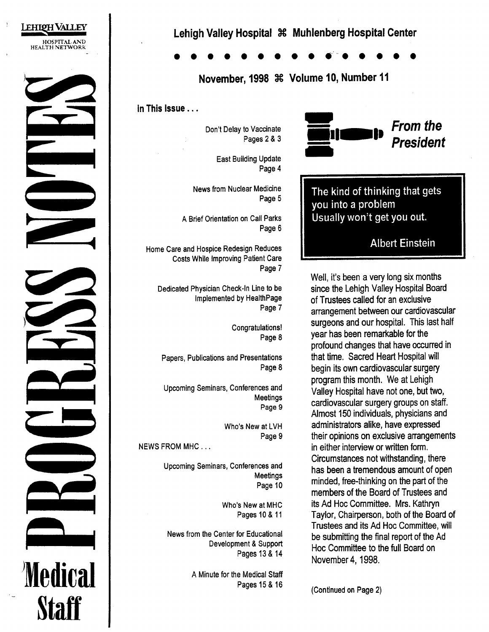

#### Lehigh Valley Hospital 36 Muhlenberg Hospital Center

# **Lehigh Valley Hospital 36 Muhlenberg Hospital Center**<br>● ● ● ● ● ● ● ● ● ● ● ● ● ● ● ● ● ●

November, 1998  $%$  Volume 10, Number 11

In This Issue ...

Don't Delay to Vaccinate Pages 2 & 3

> East Building Update Page 4

News from Nuclear Medicine Page 5

A Brief Orientation on Call Parks Page 6

Home Care and Hospice Redesign Reduces Costs While Improving Patient Care Page 7

Dedicated Physician Check-In Line to be Implemented by HealthPage Page 7

> Congratulations! Page 8

Papers, Publications and Presentations Page 8

Upcoming Seminars, Conferences and Meetings Page 9

> Who's New at LVH Page 9

NEWS FROM MHC ...

Upcoming Seminars, Conferences and **Meetings** Page 10

> Who's New at MHC Pages 10 & 11

News from the Center for Educational Development & Support Pages 13 & 14

> A Minute for the Medical Staff Pages 15 & 16



The kind of thinking that gets you into a problem Usually won't get you out.

## Albert Einstein

Well, it's been a very long six months since the Lehigh Valley Hospital Board of Trustees called for an exclusive arrangement between our cardiovascular surgeons and our hospital. This last half year has been remarkable for the profound changes that have occurred in that time. Sacred Heart Hospital will begin its own cardiovascular surgery program this month. We at Lehigh Valley Hospital have not one, but two, cardiovascular surgery groups on staff. Almost 150 individuals, physicians and administrators alike, have expressed their opinions on exclusive arrangements in either interview or written form. Circumstances not withstanding, there has been a tremendous amount of open minded, free-thinking on the part of the members of the Board of Trustees and its Ad Hoc Committee. Mrs. Kathryn Taylor, Chairperson, both of the Board of Trustees and its Ad Hoc Committee, will be submitting the final report of the Ad Hoc Committee to the full Board on November 4, 1998.

(Continued on Page 2)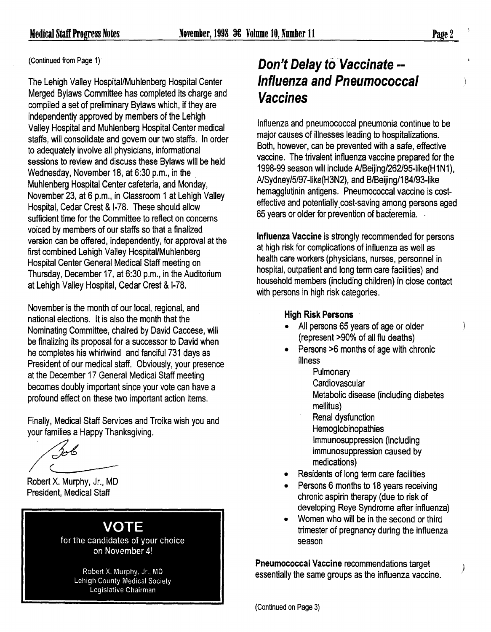١

Ì

(Continued from Page 1)

The Lehigh Valley Hospital/Muhlenberg Hospital Center Merged Bylaws Committee has completed its charge and compiled a set of preliminary Bylaws which, if they are independently approved by members of the Lehigh Valley Hospital and Muhlenberg Hospital Center medical staffs, will consolidate and govern our two staffs. In order to adequately involve all physicians, informational sessions to review and discuss these Bylaws will be held Wednesday, November 18, at 6:30 p.m., in the Muhlenberg Hospital Center cafeteria, and Monday, November 23, at 6 p.m., in Classroom 1 at Lehigh Valley Hospital, Cedar Crest & 1-78. These should allow sufficient time for the Committee to reflect on concerns voiced by members of our staffs so that a finalized version can be offered, independently, for approval at the first combined Lehigh Valley Hospital/Muhlenberg Hospital Center General Medical Staff meeting on Thursday, December 17, at 6:30 p.m., in the Auditorium at Lehigh Valley Hospital, Cedar Crest & 1-78.

November is the month of our local, regional, and national elections. It is also the month that the Nominating Committee, chaired by David Caccese, will be finalizing its proposal for a successor to David when he completes his whirlwind and fanciful 731 days as President of our medical staff. Obviously, your presence at the December 17 General Medical Staff meeting becomes doubly important since your vote can have a profound effect on these two important action items.

Finally, Medical Staff Services and Troika wish you and your families a Happy Thanksgiving.

Robert X. Murphy, Jr., MD President, Medical Staff

## **VOTE**

for the candidates of your choice on November 4!

> Robert X. Murphy, Jr., MD Lehigh County Medical Society Legislative Chairman

# **Don't Delay** *to* **Vaccinate-- Influenza and Pneumococcal Vaccines**

Influenza and pneumococcal pneumonia continue to be major causes of illnesses leading to hospitalizations. Both, however, can be prevented with a safe, effective vaccine. The trivalent influenza vaccine prepared for the 1998-99 season will include A/Beijing/262/95-like(H1N1), A/Sydney/5/97 -like(H3N2), and B/Beijing/184/93-like hemagglutinin antigens. Pneumococcal vaccine is costeffective and potentially cost-saving among persons aged 65 years or older for prevention of bacteremia. .

Influenza Vaccine is strongly recommended for persons at high risk for complications of influenza as well as health care workers (physicians, nurses, personnel in hospital, outpatient and long term care facilities) and household members (including children) in close contact with persons in high risk categories.

- High Risk Persons
	- All persons 65 years of age or older (represent >90% of all flu deaths)
- Persons >6 months of age with chronic illness
	- Pulmonary
	- **Cardiovascular**

Metabolic disease (including diabetes mellitus)

- Renal dysfunction
- **Hemoglobinopathies**
- Immunosuppression (including immunosuppression caused by medications)
- Residents of long term care facilities
- Persons 6 months to 18 years receiving chronic aspirin therapy (due to risk of developing Reye Syndrome after influenza)
- Women who will be in the second or third trimester of pregnancy during the influenza season

Pneumococcal Vaccine recommendations target essentially the same groups as the influenza vaccine.

(Continued on Page 3)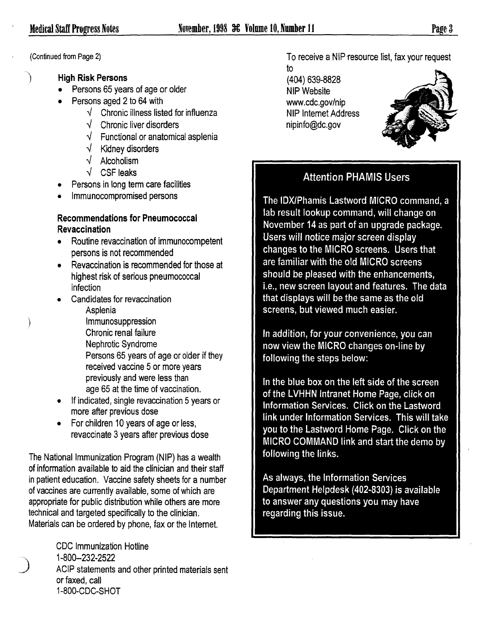(Continued from Page 2)

#### ) High Risk Persons

- Persons 65 years of age or older
- Persons aged 2 to 64 with
	- $\sqrt{\phantom{a}}$  Chronic illness listed for influenza
	- $\sqrt{\phantom{a}}$  Chronic liver disorders
	- $\sqrt{\phantom{a}}$  Functional or anatomical asplenia
	- $\sqrt{\phantom{a}}$  Kidney disorders
	- $\sqrt{\phantom{a}}$  Alcoholism
	- $\sqrt{\phantom{a}}$  CSF leaks
- Persons in long term care facilities
- lmmunocompromised persons

#### Recommendations for Pneumococcal Revaccination

- Routine revaccination of immunocompetent persons is not recommended
- Revaccination is recommended for those at highest risk of serious pneumococcal infection
- Candidates for revaccination **Asplenia**
- Immunosuppression Chronic renal failure Nephrotic Syndrome Persons 65 years of age or older if they received vaccine 5 or more years previously and were less than age 65 at the time of vaccination.
- If indicated, single revaccination 5 years or more after previous dose
- For children 10 years of age or less, revaccinate 3 years after previous dose

The National Immunization Program (NIP) has a wealth of information available to aid the clinician and their staff in patient education. Vaccine safety sheets for a number of vaccines are currently available, some of which are appropriate for public distribution while others are more technical and targeted specifically to the clinician. Materials can be ordered by phone, fax or the Internet.

*,)* 

CDC Immunization Hotline 1-800-232-2522 ACIP statements and other printed materials sent or faxed, call 1-800-CDC-SHOT

To receive a NIP resource list, fax your request

to ( 404) 639-8828 NIP Website www.cdc.gov/nip NIP Internet Address nipinfo@dc.gov



## Attention PHAMIS Users

The IDX/Phamis Lastword MICRO command, a lab result lookup command, will change on November 14 as part of an upgrade package. Users will notice major screen display changes to the MICRO screens. Users that are familiar with the old MICRO screens should be pleased with the enhancements, i.e., new screen layout and features. The data that displays will be the same as the old screens, but viewed much easier.

In addition, for your convenience, you can now view the MICRO changes on-line by following the steps below:

In the blue box on the left side of the screen of the LVHHN Intranet Home Page, click on Information Services. Click on the Lastword link under Information Services. This will take you to the Lastword Home Page. Click on the MICRO COMMAND link and start the demo by following the links.

As always, the Information Services Department Helpdesk (402-8303) is available to answer any questions you may have regarding this issue.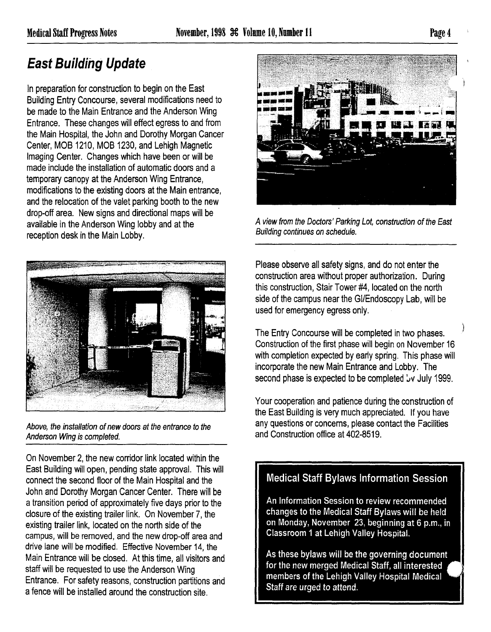## **East Building Update**

In preparation for construction to begin on the East Building Entry Concourse, several modifications need to be made to the Main Entrance and the Anderson Wing Entrance. These changes will effect egress to and from the Main Hospital, the John and Dorothy Morgan Cancer Center, MOB 1210, MOB 1230, and Lehigh Magnetic Imaging Center. Changes which have been or will be made include the installation of automatic doors and a temporary canopy at the Anderson Wing Entrance, modifications to the existing doors at the Main entrance, and the relocation of the valet parking booth to the new drop-off area. New signs and directional maps will be available in the Anderson Wing lobby and at the reception desk in the Main Lobby.



Above, the installation of new doors at the entrance to the Anderson Wing is completed.

On November 2, the new corridor link located within the East Building will open, pending state approval. This will connect the second floor of the Main Hospital and the John and Dorothy Morgan Cancer Center. There will be a transition period of approximately five days prior to the closure of the existing trailer link. On November 7, the existing trailer link, located on the north side of the campus, will be removed, and the new drop-off area and drive lane will be modified. Effective November 14, the Main Entrance will be closed. At this time, all visitors and staff will be requested to use the Anderson Wing Entrance. For safety reasons, construction partitions and a fence will be installed around the construction site.



A view from the Doctors' Parking Lot, construction of the East Building continues on schedule.

Please observe all safety signs, and do not enter the construction area without proper authorization. During this construction, Stair Tower #4, located on the north side of the campus near the GI/Endoscopy Lab, will be used for emergency egress only.

The Entry Concourse will be completed in two phases. Construction of the first phase will begin on November 16 with completion expected by early spring. This phase will incorporate the new Main Entrance and Lobby. The second phase is expected to be completed  $\sqrt{y}$  July 1999.

Your cooperation and patience during the construction of the East Building is very much appreciated. If you have any questions or concerns, please contact the Facilities and Construction office at 402-8519.

## Medical Staff Bylaws Information Session

An Information Session to review recommended changes to the Medical Staff Bylaws will be held on Monday, November 23, beginning at 6 p.m., in Classroom 1 at Lehigh Valley Hospital.

As these bylaws will be the governing document for the new merged Medical Staff, all interested members of the Lehigh Valley Hospital Medical Staff are urged to attend.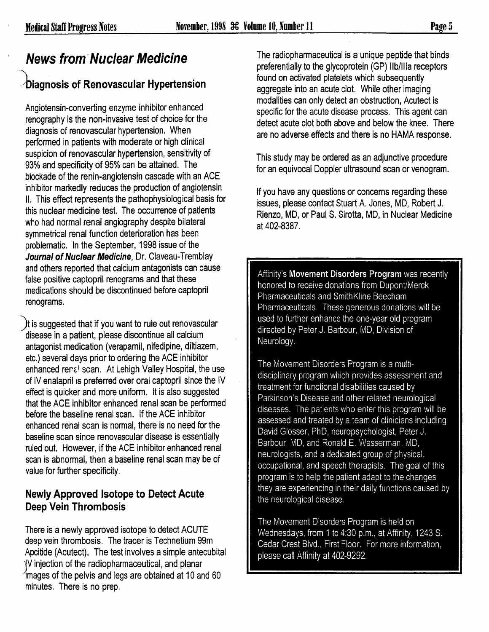# News from-Nuclear Medicine

## $\Delta$ biagnosis of Renovascular Hypertension

Angiotensin-converting enzyme inhibitor enhanced renography is the non-invasive test of choice for the diagnosis of renovascular hypertension. When performed in patients with moderate or high clinical suspicion of renovascular hypertension, sensitivity of 93% and specificity of 95% can be attained. The blockade of the renin-angiotensin cascade with an ACE inhibitor markedly reduces the production of angiotensin II. This effect represents the pathophysiological basis for this nuclear medicine test. The occurrence of patients who had normal renal angiography despite bilateral symmetrical renal function deterioration has been problematic. In the September, 1998 issue of the Journal of Nuclear Medicine, Dr. Claveau-Tremblay and others reported that calcium antagonists can cause false positive captopril renograms and that these medications should be discontinued before captopril renograms.

It is suggested that if you want to rule out renovascular disease in a patient, please discontinue all calcium antagonist medication (verapamil, nifedipine, diltiazem, etc.) several days prior to ordering the ACE inhibitor enhanced renal scan. At Lehigh Valley Hospital, the use of IV enalapril is preferred over oral captopril since the IV effect is quicker and more uniform. It is also suggested that the ACE inhibitor enhanced renal scan be performed before the baseline renal scan. If the ACE inhibitor enhanced renal scan is normal, there is no need for the baseline scan since renovascular disease is essentially ruled out. However, if the ACE inhibitor enhanced renal scan is abnormal, then a baseline renal scan may be of value for further specificity.

## Newly Approved Isotope to Detect Acute Deep Vein Thrombosis

There is a newly approved isotope to detect ACUTE deep vein thrombosis. The tracer is Technetium 99m Apcitide (Acutect). The test involves a simple antecubital jY injection of the radiopharmaceutical, and planar  $\gamma$  mages of the pelvis and legs are obtained at 10 and 60 minutes. There is no prep.

The radiopharmaceutical *is* a unique peptide that binds preferentially to the glycoprotein (GP) lib/lila receptors found on activated platelets which subsequently aggregate into an acute clot. While other imaging modalities can only detect an obstruction, Acutect is specific for the acute disease process. This agent can detect acute clot both above and below the knee. There are no adverse effects and there is no HAMA response.

This study may be ordered as an adjunctive procedure for an equivocal Doppler ultrasound scan or venogram.

If you have any questions or concerns regarding these issues, please contact Stuart A. Jones, MD, Robert J. Rienzo, MD, or Paul S. Sirotta, MD, in Nuclear Medicine at 402-8387.

Affinity's Movement Disorders Program was recently honored to receive donations from Dupont/Merck Pharmaceuticals and SmithKiine Beecham Pharmaceuticals. These generous donations will be used to further enhance the one-year old program directed by Peter J. Barbour, MD, Division of Neurology.

The Movement Disorders Program is a multidisciplinary program which provides assessment and treatment for functional disabilities caused by Parkinson's Disease and other related neurological diseases. The patients who enter this program will be assessed and treated by a team of clinicians including David Glosser, PhD, neuropsychologist, Peter J. Barbour, MD, and Ronald E. Wasserman, MD, neurologists, and a dedicated group of physical, occupational, and speech therapists. The goal of this program is to help the patient adapt to the changes they are experiencing in their daily functions caused by the neurological disease.

The Movement Disorders Program is held on Wednesdays, from 1 to 4:30 p.m., at Affinity, 1243 S. Cedar Crest Blvd., First Floor. For more information, please call Affinity at 402-9292.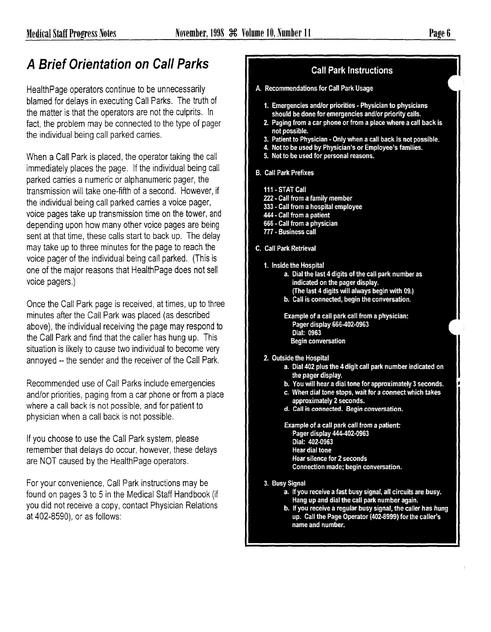## **A Brief Orientation on Call Parks**

HealthPage operators continue to be unnecessarily blamed for delays in executing Call Parks. The truth of the matter is that the operators are not the culprits. In fact, the problem may be connected to the type of pager the individual being call parked carries.

When a Call Park is placed, the operator taking the call immediately places the page. If the individual being call parked carries a numeric or alphanumeric pager, the transmission will take one-fifth of a second. However, if the individual being call parked carries a voice pager, voice pages take up transmission time on the tower, and depending upon how many other voice pages are being sent at that time, these calls start to back up. The delay may take up to three minutes for the page to reach the voice pager of the individual being call parked. (This is one of the major reasons that Health Page does not sell voice pagers.)

Once the Call Park page is received, at times, up to three minutes after the Call Park was placed (as described above), the individual receiving the page may respond to the Call Park and find that the caller has hung up. This situation is likely to cause two individual to become very annoyed -- the sender and the receiver of the Call Park.

Recommended use of Call Parks include emergencies and/or priorities, paging from a car phone or from a place where a call back is not possible, and for patient to physician when a call back is not possible.

If you choose to use the Call Park system, please remember that delays do occur, however, these delays are NOT caused by the Health Page operators.

For your convenience, Call Park instructions may be found on pages 3 to 5 in the Medical Staff Handbook (if you did not receive a copy, contact Physician Relations at 402-8590), or as follows:

#### Call Park Instructions

- A. Recommendations for Call Park Usage
	- 1. Emergencies and/or priorities- Physician to physicians should be done for emergencies and/or priority calls.
	- 2. Paging from a car phone or from a place where a call back is not possible.
	- 3. Patient to Physician -Only when a call back is not possible.
	- 4. Not to be used by Physician's or Employee's families.
	- 5. Not to be used for personal reasons.

#### B. Call Park Prefixes

- 111-STATCall
- 222- Call from a family member
- 333 Call from a hospital employee
- 444- Call from a patient
- 666 Call from a physician
- 777 Business call

#### C. Call Park Retrieval

- 1. Inside the Hospital
	- a. Dial the last 4 digits of the call park number as indicated on the pager display.
	- (The last 4 digits will always begin with 09.) b. Call is connected, begin the conversation.
	- Example of a call park call from a physician: Pager display 666-402-0963 Dial: 0963 Begin conversation

#### 2. Outside the Hospital

- a. Dial402 plus the 4 digit call park number indicated on the pager display.
- b. You will hear a dial tone for approximately 3 seconds.
- c. When dial tone stops, wait for a connect which takes approximately 2 seconds.
- d. Call is connected. Begin conversation.

Example of a call park call from a patient: Pager display 444-402-0963 Dial: 402-0963 Hear dial tone Hear silence for 2 seconds Connection made; begin conversation.

- 3. Busy Signal
	- a. If you receive a fast busy signal, all circuits are busy. Hang up and dial the call park number again.
	- b. If you receive a regular busy signal, the caller has hung up. Call the Page Operator {402-8999) for the caller's name and number.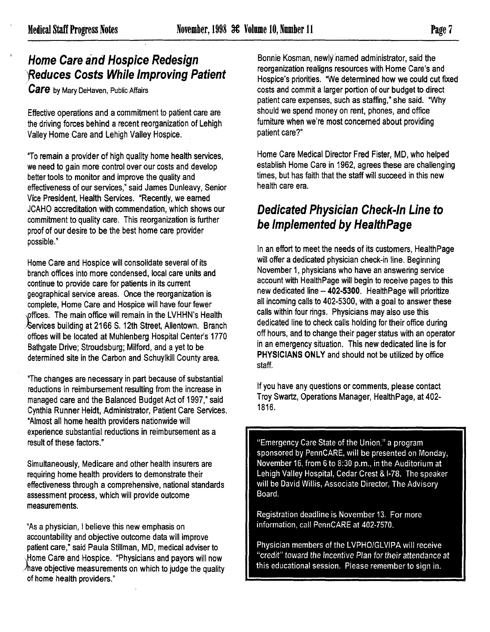## **Home Care and Hospice Redesign fleduces Costs While Improving Patient**

**Care** by Mary DeHaven, Public Affairs

Effective operations and a commitment to patient care are the driving forces behind a recent reorganization of Lehigh Valley Home Care and Lehigh Valley Hospice.

"To remain a provider of high quality home health services, we need to gain more control over our costs and develop better tools to monitor and improve the quality and effectiveness of our services," said James Dunleavy, Senior Vice President, Health Services. "Recently, we earned JCAHO accreditation with commendation, which shows our commitment to quality care. This reorganization is further proof of our desire to be the best home care provider possible."

Home Care and Hospice will consolidate several of its branch offices into more condensed, local care units and continue to provide care for patients in its current geographical service areas. Once the reorganization is complete, Home Care and Hospice will have four fewer \offices. The main office will remain in the LVHHN's Health Services building at 2166 S. 12th Street, Allentown. Branch offices will be located at Muhlenberg Hospital Center's 1770 Bathgate Drive; Stroudsburg; Milford, and a yet to be determined site in the Carbon and Schuylkill County area.

"The changes are necessary in part because of substantial reductions in reimbursement resulting from the increase in managed care and the Balanced Budget Act of 1997," said Cynthia Runner Heidt, Administrator, Patient Care Services. "Almost all home health providers nationwide will experience substantial reductions in reimbursement as a result of these factors."

Simultaneously, Medicare and other health insurers are requiring home health providers to demonstrate their effectiveness through a comprehensive, national standards assessment process, which will provide outcome measurements.

"As a physician, I believe this new emphasis on accountability and objective outcome data will improve patient care," said Paula Stillman, MD, medical adviser to 1 Home Care and Hospice. "Physicians and payers will now Jhave objective measurements on which to judge the quality of home health providers."

Bonnie Kosman, newly named administrator, said the reorganization realigns resources with Home Care's and Hospice's priorities. "We determined how we could cut fixed costs and commit a larger portion of our budget to direct patient care expenses, such as staffing," she said. "Why should we spend money on rent, phones, and office furniture when we're most concerned about providing patient care?"

Home Care Medical Director Fred Fister, MD, who helped establish Home Care in 1962, agrees these are challenging times, but has faith that the staff will succeed in this new health care era.

## **Dedicated Physician Check-In Line to be Implemented by Health Page**

In an effort to meet the needs of its customers, Health Page will offer a dedicated physician check-in line. Beginning November 1, physicians who have an answering service account with Health Page will begin to receive pages to this new dedicated line -- 402-5300. Health Page will prioritize all incoming calls to 402-5300, with a goal to answer these calls within four rings. Physicians may also use this dedicated line to check calls holding for their office during off hours, and to change their pager status with an operator in an emergency situation. This new dedicated line is for PHYSICIANS ONLY and should not be utilized by office staff.

If you have any questions or comments, please contact Troy Swartz, Operations Manager, Health Page, at 402- 1816.

"Emergency Care State of the Union," a program sponsored by PennCARE, will be presented on Monday, November 16, from 6 to 8:30 p.m., in the Auditorium at Lehigh Valley Hospital, Cedar Crest & 1-78. The speaker will be David Willis, Associate Director, The Advisory Board.

Registration deadline is November 13. For more information, call PennCARE at 402-7570.

Physician members of the LVPHO/GLVIPA will receive "credit" toward the Incentive Plan for their attendance at this educational session. Please remember to sign in.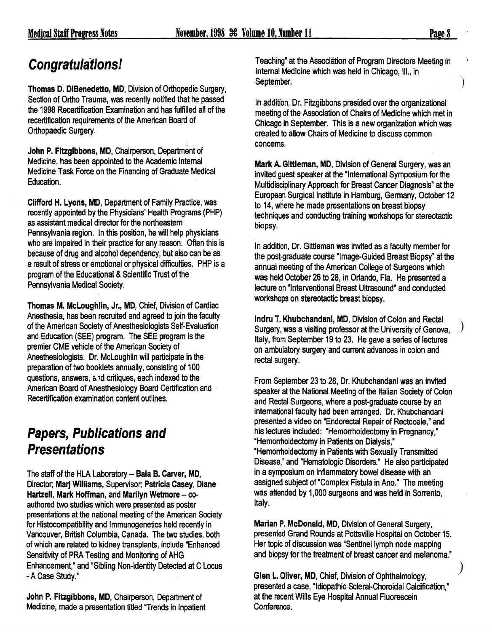## **Congratulations!**

Thomas D. DiBenedetto, MD, Division of Orthopedic Surgery, Section of Ortho Trauma, was recently notified that he passed the 1998 Recertification Examination and has fulfilled all of the recertification requirements of the American Board of Orthopaedic Surgery.

John P. Fitzgibbons, MD, Chairperson, Department of Medicine, has been appointed to the Academic Internal Medicine Task Force on the Financing of Graduate Medical Education.

Clifford H. Lyons, MD, Department of Family Practice, was recently appointed by the Physicians' Health Programs (PHP) as assistant medical director for the northeastern Pennsylvania region. In this position, he will help physicians who are impaired in their practice for any reason. Often this is because of drug and alcohol dependency, but also can be as a result of stress or emotional or physical difficulties. PHP is a program of the Educational & Scientific Trust of the Pennsylvania Medical Society.

Thomas M. Mcloughlin, Jr., MD, Chief, Division of Cardiac Anesthesia, has been recruited and agreed to join the faculty of the American Society of Anesthesiologists Self-Evaluation and Education (SEE) program. The SEE program is the premier CME vehicle of the American Society of Anesthesiologists. Dr. Mcloughlin will participate in the preparation of two booklets annually, consisting of 100 questions, answers, a.1d critiques, each indexed to the American Board of Anesthesiology Board Certification and · Recertification examination content outlines.

## **Papers, Publications and Presentations**

The staff of the HLA Laboratory -- Bala B. Carver, MD, Director; Marj Williams, Supervisor; Patricia Casey, Diane Hartzell, Mark Hoffman, and Marilyn Wetmore -- coauthored two studies which were presented as poster presentations at the national meeting of the American Society for Histocompatibility and Immunogenetics held recently in Vancouver, British Columbia, Canada. The two studies, both of which are related to kidney transplants, include "Enhanced Sensitivity of PRA Testing and Monitoring of AHG Enhancement," and "Sibling Non-Identity Detected at C Locus -A Case Study."

John P. Fitzgibbons, MD, Chairperson, Department of Medicine, made a presentation titled "Trends in Inpatient Teaching" at the Association of Program Directors Meeting in Internal Medicine which was held in Chicago, Ill., in September.

In addition, Dr. Fitzgibbons presided over the organizational meeting of the Association of Chairs of Medicine which met in Chicago in September. This is a new organization which was created to allow Chairs of Medicine to discuss common concerns.

Mark A. Gittleman, MD, Division of General Surgery, was an invited guest speaker at the "International Symposium for the Multidisciplinary Approach for Breast Cancer Diagnosis" at the European Surgical Institute in Hamburg, Germany, October 12 to 14, where he made presentations on breast biopsy techniques and conducting training workshops for stereotactic biopsy.

In addition, Dr. Gittleman was invited as a faculty member for the post-graduate course "Image-Guided Breast Biopsy" at the annual meeting of the American College of Surgeons which was held October 26 to 28, in Orlando, Fla. He presented a lecture on "lnterventional Breast Ultrasound" and conducted workshops on stereotactic breast biopsy.

lndru T. Khubchandani, MD, Division of Colon and Rectal Surgery, was a visiting professor at the University of Genova, Italy, from September 19 to 23. He gave a series of lectures on ambulatory surgery and current advances in colon and rectal surgery.

From September 23 to 28, Dr. Khubchandani was an invited speaker at the National Meeting of the Italian Society of Colon and Rectal Surgeons, where a post-graduate course by an international faculty had been arranged. Dr. Khubchandani presented a video on "Endorectal Repair of Rectocele," and his lectures included: "Hemorrhoidectomy in Pregnancy," "Hemorrhoidectomy in Patients on Dialysis," "Hemorrhoidectomy in Patients with Sexually Transmitted Disease," and "Hematologic Disorders." He also participated in a symposium on inflammatory bowel disease with an assigned subject of "Complex Fistula in Ano." The meeting was attended by 1,000 surgeons and was held in Sorrento, Italy.

Marian P. McDonald, MD, Division of General Surgery, presented Grand Rounds at Pottsville Hospital on October 15. Her topic of discussion was "Sentinel lymph node mapping and biopsy for the treatment of breast cancer and melanoma."

*)* 

Glen l. Oliver, MD, Chief, Division of Ophthalmology, presented a case, "Idiopathic Scleral-Choroidal Calcification," at the recent Wills Eye Hospital Annual Fluorescein Conference.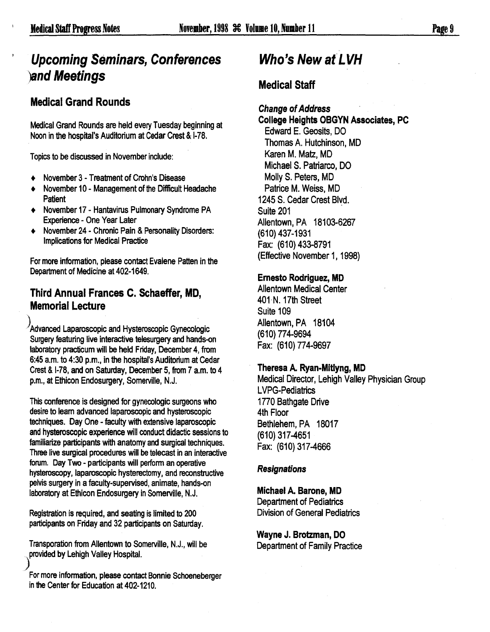## Upcoming Seminars, Conferences **and Meetings**

### Medical Grand Rounds

Medical Grand Rounds are held every Tuesday beginning at Noon in the hospital's Auditorium at Cedar Crest & 1-78.

Topics to be discussed in November include:

- + November 3 Treatment of Crohn's Disease
- + November 10 Management of the Difficult Headache **Patient**
- + November 17- Hantavirus Pulmonary Syndrome PA Experience - One Year Later
- + November 24 Chronic Pain & Personality Disorders: Implications for Medical Practice

For more information, please contact Evalene Patten in the Department of Medicine at 402-1649.

#### Third Annual Frances C. Schaeffer, MD, Memorial Lecture

) Advanced Laparoscopic and Hysteroscopic Gynecologic Surgery featuring live interactive telesurgery and hands-on laboratory practicum will be held Friday, December 4, from 6:45 a.m. to 4:30 p.m., in the hospital's Auditorium at Cedar Crest & 1-78, and on Saturday, December 5, from 7 a.m. to 4 p.m., at Ethicon Endosurgery, Somerville, N.J.

This conference is designed for gynecologic surgeons who desire to learn advanced laparoscopic and hysteroscopic techniques. Day One - faculty with extensive laparoscopic and hysteroscopic experience will conduct didactic sessions to familiarize participants with anatomy and surgical techniques. Three live surgical procedures will be telecast in an interactive forum. Day Two- participants will perform an operative hysteroscopy, laparoscopic hysterectomy, and reconstructive pelvis surgery in a faculty-supervised, animate, hands-on laboratory at Ethicon Endosurgery in Somerville, N.J.

Registration is required, and seating is limited to 200 participants on Friday and 32 participants on Saturday.

Transporation from Allentown to Somerville, N.J., will be provided by Lehigh Valley Hospital.

For more information, please contact Bonnie Schoeneberger in the Center for Education at 402-1210.

## Who's New at LVH

#### Medical Staff

### Change of Address College Heights OBGYN Associates, PC Edward E. Geosits, DO

Thomas A. Hutchinson, MD Karen M. Matz, MD Michael S. Patriarco, DO Molly S. Peters, MD Patrice M. Weiss, MD 1245 S. Cedar Crest Blvd. Suite 201 Allentown, PA 18103-6267 (610) 437-1931 Fax: (610) 433-8791 (Effective November 1, 1998)

#### Emesto Rodriguez, MD

Allentown Medical Center 401·N. 17th Street Suite 109 Allentown, PA 18104 (610) 774-9694 Fax: (610) 774-9697

#### Theresa A. Ryan-Mitlyng, MD

Medical Director, Lehigh Valley Physician Group L VPG-Pediatrics 1770 Bathgate Drive 4th Floor Bethlehem, PA 18017 (610) 317-4651 Fax: (610) 317-4666

#### **Resignations**

Michael A. Barone, MD Department of Pediatrics Division of General Pediatrics

Wayne J. Brotzman, DO Department of Family Practice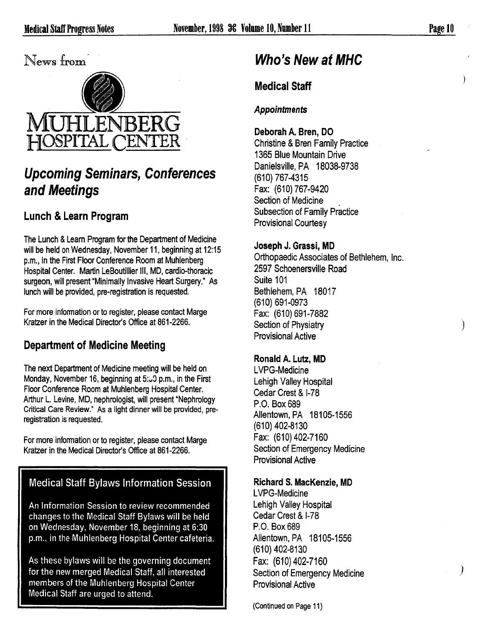)

)

News from.-



# **Upcoming Seminars, Conferences and Meetings**

## Lunch & Learn Program

The Lunch & Learn Program for the Department of Medicine will be held on Wednesday, November 11, beginning at 12:15 p.m., in the First Floor Conference Room at Muhlenberg Hospital Center. Martin LeBoutillier Ill, MD, cardia-thoracic surgeon, will present "Minimally Invasive Heart Surgery." As lunch will be provided, pre-registration is requested.

For more information or to register, please contact Marge Kratzer in the Medical Director's Office at 861-2266.

## Department of Medicine Meeting

The next Department of Medicine meeting will be held on Monday, November 16, beginning at  $5:50$  p.m., in the First Floor Conference Room at Muhlenberg Hospital Center. Arthur L. Levine, MD, nephrologist, will present "Nephrology Critical Care Review." As a light dinner will be provided, preregistration is requested.

For more information or to register, please contact Marge Kratzer in the Medical Director's Office at 861-2266.

## Medical Staff Bylaws Information Session

An Information Session to review recommended changes to the Medical Staff Bylaws will be held on Wednesday, November 18, beginning at 6:30 p.m., in the Muhlenberg Hospital Center cafeteria.

As these bylaws will be the governing document for the new merged Medical Staff, all interested members of the Muhlenberg Hospital Center Medical Staff are urged to attend.

# **Who's New at MHC**

### Medical Staff

#### Appointments

#### Deborah A. Bren, DO

Christine & Bren Family Practice 1365 Blue Mountain Drive Danielsville, PA 18038-9738 (610) 767-4315 Fax: (610) 767-9420 Section of Medicine Subsection of Family Practice Provisional Courtesy

#### Joseph J. Grassi, MD

Orthopaedic Associates of Bethlehem, Inc. 2597 Schoenersville Road Suite 101 Bethlehem, PA 18017 (610) 691-0973 Fax: (610) 691-7882 Section of Physiatry Provisional Active

#### Ronald A. Lutz, MD

L VPG-Medicine Lehigh Valley Hospital Cedar Crest & 1-78 P.O. Box689 Allentown, PA 18105-1556 (610) 402-8130 Fax: (610) 402-7160 Section of Emergency Medicine Provisional Active

#### Richard S. MacKenzie, MD

L VPG-Medicine Lehigh Valley Hospital Cedar Crest & 1-78 P.O. Box 689 Allentown, PA 18105-1556 (610) 402-8130 Fax: (610) 402-7160 Section of Emergency Medicine Provisional Active

(Continued on Page 11)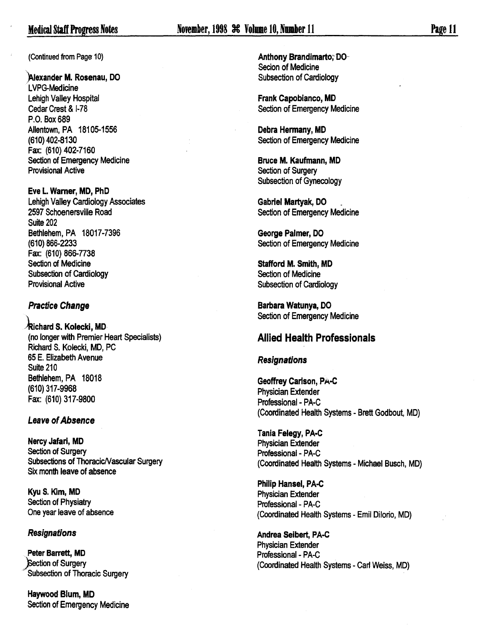(Continued from Page 10)

#### Alexander M. Rosenau, DO

LVPG-Medicine Lehigh Valley Hospital Cedar Crest & 1-78 P.O. Box689 Allentown; PA 18105-1556 (610} 402-8130 Fax: (610} 402-7160 Section of Emergency Medicine Provisional Active

Eve L. Warner, MD, PhD Lehigh Valley Cardiology Associates 2597 Schoenersville Road Suite 202 Bethlehem, PA 18017-7396 (610} 866-2233 Fax: (610} 866-7738 Section of Medicine Subsection of Cardiology Provisional Active

#### Practice Change

~chard S. Kolecki, MD· (no longer with Premier Heart Specialists} Richard S. Kolecki, MD, PC 65 E. Elizabeth Avenue Suite 210 Bethlehem, PA 18018 (610} 317-9968 Fax: (610} 317-9800

#### Leave of Absence

Nercy Jafari, MD Section of Surgery Subsections of ThoracicNascular Surgery Six month leave of absence

Kyu S. Kim, MD Section of Physiatry One year leave of absence

#### **Resignations**

Peter Barrett, MD )section of Surgery Subsection of Thoracic Surgery

Haywood Blum, MD Section of Emergency Medicine Anthony Brandimarto; DO-Secion of Medicine Subsection of Cardiology

Frank Capobianco, MD Section of Emergency Medicine

Debra Hermany, MD Section of Emergency Medicine

Bruce M. Kaufmann, MD Section of Surgery Subsection of Gynecology

Gabriel Martyak, DO Section of Emergency Medicine

George Palmer, DO Section of Emergency Medicine

Stafford M. Smith, MD Section of Medicine Subsection of Cardiology

Barbara Watunya, DO Section of Emergency Medicine

#### Allied Health Professionals

#### Resignations

Geoffrey Carlson, PA-C Physician Extender Professional- PA-C (Coordinated Health Systems - Brett Godbout, MD}

Tania Felegy, PA·C Physician Extender Professional- PA-C (Coordinated Health Systems - Michael Busch, MD}

Philip Hansel, PA.C Physician Extender Professional- PA-C (Coordinated Health Systems - Emil Dilorio, MD)

Andrea Seibert, PA·C Physician Extender Professional- PA-C (Coordinated Health Systems - Carl Weiss, MD}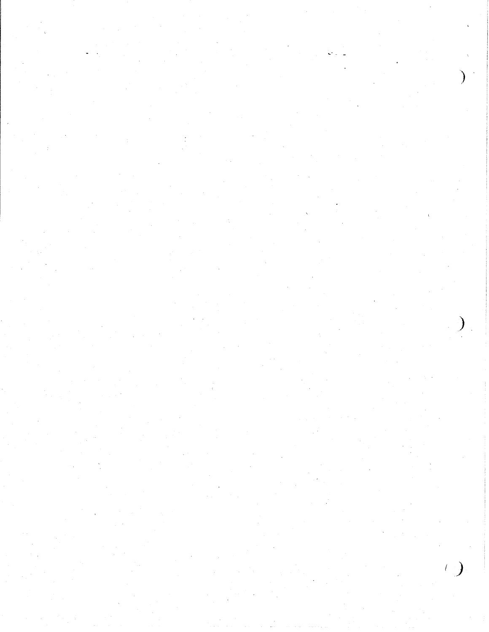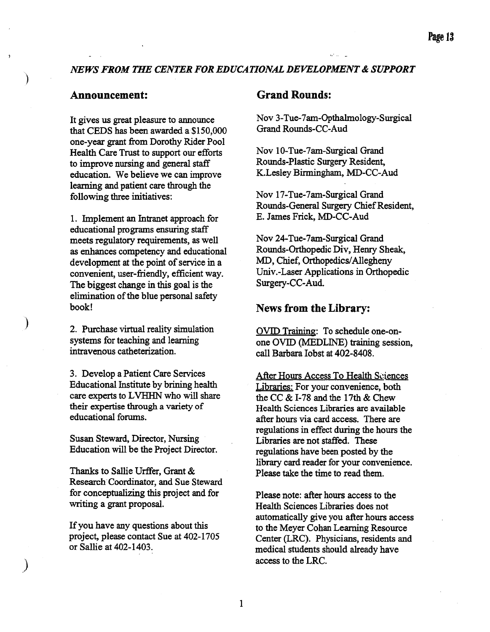#### *NEWS FROM THE CENTER FOR EDUCATIONAL DEVELOPMENT* & *SUPPORT*

)

that CEDS has been awarded a  $$150,000$ one-year grant from Dorothy Rider Pool Health Care Trust to support our efforts Nov 10-Tue-7am-Surgical Grand<br>to improve nursing and general staff Rounds-Plastic Surgery Resident, to improve nursing and general staff Rounds-Plastic Surgery Resident,<br>
education We believe we can improve K.Lesley Birmingham, MD-CC-Aud education. We believe we can improve learning and patient care through the following three initiatives: Nov 17-Tue-7am-Surgical Grand

1. Implement an Intranet approach for E. James Frick, MD-CC-Aud educational programs ensuring staff meets regulatory requirements, as well Nov 24-Tue-7am-Surgical Grand<br>as enhances competency and educational Rounds-Orthopedic Div, Henry Sheak, as enhances competency and educational Rounds-Orthopedic Div, Henry She<br>development at the point of service in a MD, Chief, Orthopedics/Allegheny development at the point of service in a MD, Chief, Orthopedics/Allegheny<br>
convenient user-friendly efficient way Univ.-Laser Applications in Orthopedic convenient, user-friendly, efficient way. Univ.-Laser Applications in this goal is the Surgery-CC-Aud. The biggest change in this goal is the elimination of the blue personal safety book! News from the Library:

2. Purchase virtual reality simulation  $\overline{OVID}$  Training: To schedule one-on-<br>systems for teaching and learning one OVID (MEDLINE) training sessie

3. Develop a Patient Care Services<br>
Educational Institute by brining health<br>
I ibraries: For your convenience both Educational Institute by brining health Libraries: For your convenience, both care experts to LVHHN who will share the CC & I-78 and the 17th & Chew their expertise through a variety of<br>
Health Sciences Libraries are available<br>
after hours via eard access. There are

Susan Steward, Director, Nursing

Thanks to Sallie Urffer, Grant & Research· coordinator, and Sue Steward for conceptualizing this project and for<br>
Please note: after hours access to the<br>
Health Sciences Libraries does not

If you have any questions about this

#### Announcement: Grand Rounds:

It gives us great pleasure to announce Nov 3-Tue-7am-Opthalmology-Surgical<br>that CEDS has been awarded a \$150,000 Grand Rounds-CC-Aud

Rounds-General Surgery Chief Resident,

systems for teaching and learning<br>intravenous catheterization.  $\begin{array}{c} \text{one OVID (MEDLINE) training session,} \\ \text{call Barbara Tohet at 402-8408} \end{array}$ call Barbara Iobst at 402-8408.

the CC  $&$  I-78 and the 17th  $&$  Chew after hours via card access. There are regulations in effect during the hours the Libraries are not staffed. These Education will be the Project Director. regulations have been posted by the library card reader for your convenience. Please take the time to read them.

Health Sciences Libraries does not automatically give you after hours access to the Meyer Cohan Learning Resource project, please contact Sue at 402-1705 Center (LRC). Physicians, residents and<br>or Sallie at 402-1403. medical students should already have ) access to the LRC.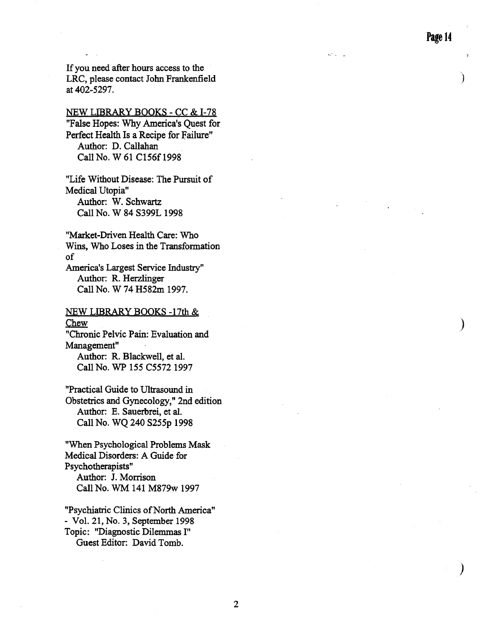If you need after hours access to the LRC, please contact John Frankenfield at 402-5297.

<u>NEW LIBRARY BOOKS - CC & I-78</u> "False Hopes: Why America's Quest for Perfect Health Is a Recipe for Eailure" Author: D. Callahan Call No. W 61 C156f 1998

"Life Without Disease: The Pursuit of Medical Utopia" Author: W. Schwartz Call No. W 84 S399L 1998

"Market-Driven Health Care: Who Wins, Who Loses in the Transformation of

America's Largest Service Industry" Author: R. Herzlinger Call No. W 74 H582m 1997.

#### NEW LIBRARY BOOKS -17th & Chew

"Chronic Pelvic Pain: Evaluation and Management" Author: R. Blackwell, et al. Call No. WP 155 C5572 1997

"Practical Guide to Ultrasound in Obstetrics and Gynecology," 2nd edition Author: E. Sauerbrei, et al. Call No. WQ 240 S255p 1998

"When Psychological Problems Mask Medical Disorders: A Guide for Psychotherapists" Author: J. Morrison Call No. WM 141 M879w 1997

"Psychiatric Clinics of North America"<br>- Vol. 21, No. 3, September 1998 Topic: "Diagnostic Dilemmas I" Guest Editor: David Tomb.

)

)

)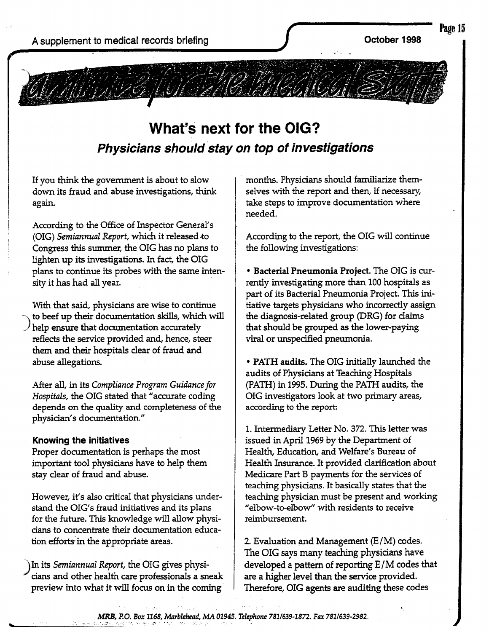Page 15

# What's next for the OIG? Physicians should stay on top of investigations

If you think the government is about to slow down its fraud and abuse investigations, think again.

According to the Office of Inspector General's (OIG) *Semiannual Report,* which it released .to Congress this summer, the OIG has no plans to lighten up its investigations. In fact, the OIG plans to continue its probes with the same intensity it has had all year.

With that said, physicians are wise to continue to beef up their documentation skills, which will help ensure that documentation accurately reflects the service provided and, hence, steer them and their hospitals clear of fraud and abuse allegations.

After all, in its *Compliance Program Guidance for*  Hospitals, the OIG stated that "accurate coding depends on the quality and completeness of the physician's documentation."

#### Knowing the initiatives

Proper documentation is perhaps the most important tool physicians have to help them stay clear of fraud and abuse.

However, it's also critical that physicians understand the OIG's fraud initiatives and its plans for the future. This knowledge will allow physicians to concentrate their documentation education efforts in the appropriate areas.

)In its *Semiannual Report,* the OIG gives physi cians and other health care professionals a sneak preview into what it will focus on in the coming·

months. Physicians should familiarize themselves with the report and then, if necessary, take steps to improve documentation where needed.

According to the report, the OIG will continue the following investigations:

• Bacterial Pneumonia Project. The OIG is currently investigating more than 100 hospitals as part of its Bacterial Pneumonia Project. This initiative targets physicians who incorrectly assign the diagnosis-related group (DRG) for claims that should be grouped as the lower-paying viral or unspecified pneumonia.

• PATH audits. The OIG initially launched the audits of Physicians at Teaching Hospitals (PATH) in 1995. During the PATH audits, the OIG investigators look at two primary areas, according to the report:

1. Intermediary Letter No. 372. This letter was issued in April 1969 by the Department of Health, Education, and Welfare's Bureau of Health Insurance. It provided clarification about Medicare Part B payments for the services of teaching physicians. It basically states that the teaching physician must be present and working "elbow-to-elbow'' with residents to receive reimbursement.

2. Evaluation and Management  $(E/M)$  codes. The OIG says many teaching physidans have developed a pattern of reporting E/M codes that are a higher level than the service provided. Therefore, OIG agents are auditing these codes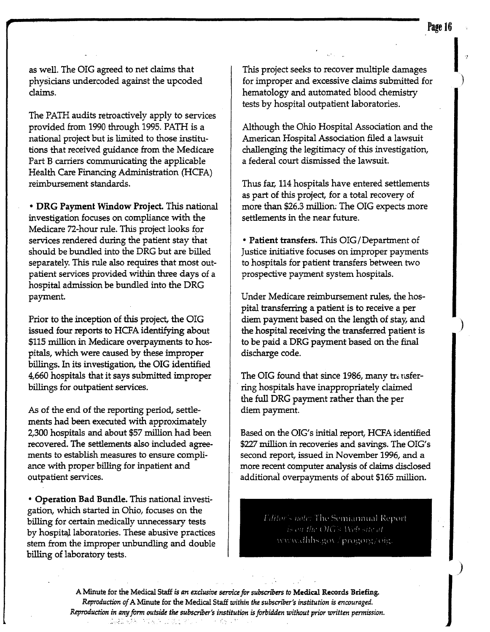$\begin{bmatrix} 1 & 1 \\ 1 & 1 \\ 1 & 1 \end{bmatrix}$ 

)

)

)

as well. The OIG agreed to net claims that physicians undercoded against the upcoded claims.

The PATH audits retroactively apply to services provided from 1990 through 1995. PATH is a national project but is limited to those institutions that received guidance from the Medicare Part B carriers communicating the applicable Health Care Financing Administration (HCFA) reimbursement standards.

• DRG Payment Wmdow Project. This national investigation focuses on compliance with the Medicare 72-hour rule. This project looks for services rendered during the patient stay that should be bundled into the DRG but are billed separately. This rule also requires that most outpatient services provided within three days of a hospital admission be bundled into the DRG payment.

Prior to the inception of this project, the OIG issued four reports to HCFA identifying about \$115 million in Medicare overpayments to hospitals, which were caused by these improper billings. In its investigation, the OIG identified 4,660 hospitals that it says submitted improper billings for outpatient services.

As of the end of the reporting period, settlements had been executed with approximately 2,300 hospitals and about \$57 million had been recovered. The settlements also included agreements to establish measures to ensure compliance with proper billing for inpatient and outpatient services.

• Operation Bad Bundle. This national investigation, which started in Ohio, focuses on the billing for certain medically unnecessary tests by hospital laboratories. These abusive practices stem from the improper unbundling and double billing of laboratory tests.

This project seeks to recover multiple damages for improper and excessive claims submitted for hematology and automated blood chemistry tests by hospital outpatient laboratories.

Although the Ohio Hospital Association and the American Hospital Association filed a lawsuit challenging the legitimacy of this investigation, a federal court dismissed the lawsuit.

Thus far, 114 hospitals have entered settlements as part of this project, for a total recovery of more than \$26.3 million; The OIG expects more settlements in the near future.

• Patient transfers. This DIG/Department of Justice initiative focuses on improper payments to hospitals for patient transfers between two prospective payment system hospitals.

Under Medicare reimbursement rules, the hospital transferring a patient is to receive a per diem payment based on the length of stay, and the hospital receiving the transferred patient is to be paid a DRG payment based on the final discharge code.

The OIG found that since 1986, many transfer-. ring hospitals have inappropriately claimed the full DRG payment rather than the per diem payment.

Based on the OIG's initial report, HCFA identified \$227 million in recoveries and savings. The OIG's second report, issued in November 1996, and a more recent computer analysis of claims disclosed additional overpayments of about \$165 million.

> *Editor's note:* The Semiannual Report  $i<sub>s</sub>$  on the OIG's Web site at \ www.dhhs.gov/progorg/oig

A Minute for the Medical Staff *is an exclusive seruice for subscribers to* Medical Records Briefing. *Reproduction of* A Minute for the Medical Staff *within the subscriber's institution is encouraged. Reproduction in any form outside* the *subscriber's institution is forbidden without prior written permission.* . ,. . . " .,·'' ..